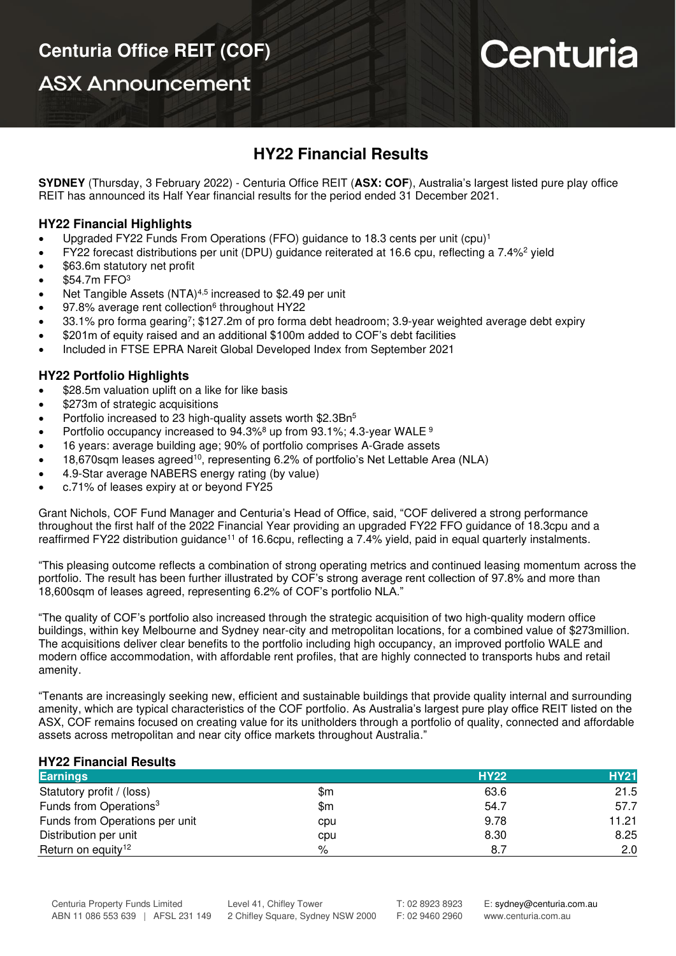**ASX Announcement** 

# Centuria

### **HY22 Financial Results**

**SYDNEY** (Thursday, 3 February 2022) - Centuria Office REIT (**ASX: COF**), Australia's largest listed pure play office REIT has announced its Half Year financial results for the period ended 31 December 2021.

#### **HY22 Financial Highlights**

- Upgraded FY22 Funds From Operations (FFO) guidance to 18.3 cents per unit (cpu)<sup>1</sup>
- FY22 forecast distributions per unit (DPU) guidance reiterated at 16.6 cpu, reflecting a 7.4%<sup>2</sup> yield
- \$63.6m statutory net profit
- \$54.7m FFO<sup>3</sup>
- Net Tangible Assets (NTA)<sup>4,5</sup> increased to \$2.49 per unit
- 97.8% average rent collection<sup>6</sup> throughout HY22
- 33.1% pro forma gearing<sup>7</sup>; \$127.2m of pro forma debt headroom; 3.9-year weighted average debt expiry
- \$201m of equity raised and an additional \$100m added to COF's debt facilities
- Included in FTSE EPRA Nareit Global Developed Index from September 2021

### **HY22 Portfolio Highlights**

- \$28.5m valuation uplift on a like for like basis
- \$273m of strategic acquisitions
- Portfolio increased to 23 high-quality assets worth \$2.3Bn<sup>5</sup>
- Portfolio occupancy increased to  $94.3\%$ <sup>8</sup> up from 93.1%; 4.3-year WALE  $9$
- 16 years: average building age; 90% of portfolio comprises A-Grade assets
- 18,670sqm leases agreed<sup>10</sup>, representing 6.2% of portfolio's Net Lettable Area (NLA)
- 4.9-Star average NABERS energy rating (by value)
- c.71% of leases expiry at or beyond FY25

Grant Nichols, COF Fund Manager and Centuria's Head of Office, said, "COF delivered a strong performance throughout the first half of the 2022 Financial Year providing an upgraded FY22 FFO guidance of 18.3cpu and a reaffirmed FY22 distribution guidance<sup>11</sup> of 16.6cpu, reflecting a 7.4% yield, paid in equal quarterly instalments.

"This pleasing outcome reflects a combination of strong operating metrics and continued leasing momentum across the portfolio. The result has been further illustrated by COF's strong average rent collection of 97.8% and more than 18,600sqm of leases agreed, representing 6.2% of COF's portfolio NLA."

"The quality of COF's portfolio also increased through the strategic acquisition of two high-quality modern office buildings, within key Melbourne and Sydney near-city and metropolitan locations, for a combined value of \$273million. The acquisitions deliver clear benefits to the portfolio including high occupancy, an improved portfolio WALE and modern office accommodation, with affordable rent profiles, that are highly connected to transports hubs and retail amenity.

"Tenants are increasingly seeking new, efficient and sustainable buildings that provide quality internal and surrounding amenity, which are typical characteristics of the COF portfolio. As Australia's largest pure play office REIT listed on the ASX, COF remains focused on creating value for its unitholders through a portfolio of quality, connected and affordable assets across metropolitan and near city office markets throughout Australia."

#### **HY22 Financial Results**

| <b>Earnings</b>                    |     | <b>HY22</b> | <b>HY21</b> |
|------------------------------------|-----|-------------|-------------|
| Statutory profit / (loss)          | \$m | 63.6        | 21.5        |
| Funds from Operations <sup>3</sup> | \$m | 54.7        | 57.7        |
| Funds from Operations per unit     | cpu | 9.78        | 11.21       |
| Distribution per unit              | cpu | 8.30        | 8.25        |
| Return on equity <sup>12</sup>     | %   | 8.7         | 2.0         |

Level 41, Chifley Tower

T: 02 8923 8923 F: 02 9460 2960

E: [sydney@centuria.com.au](mailto:sydney@centuria.com.au)  www.centuria.com.au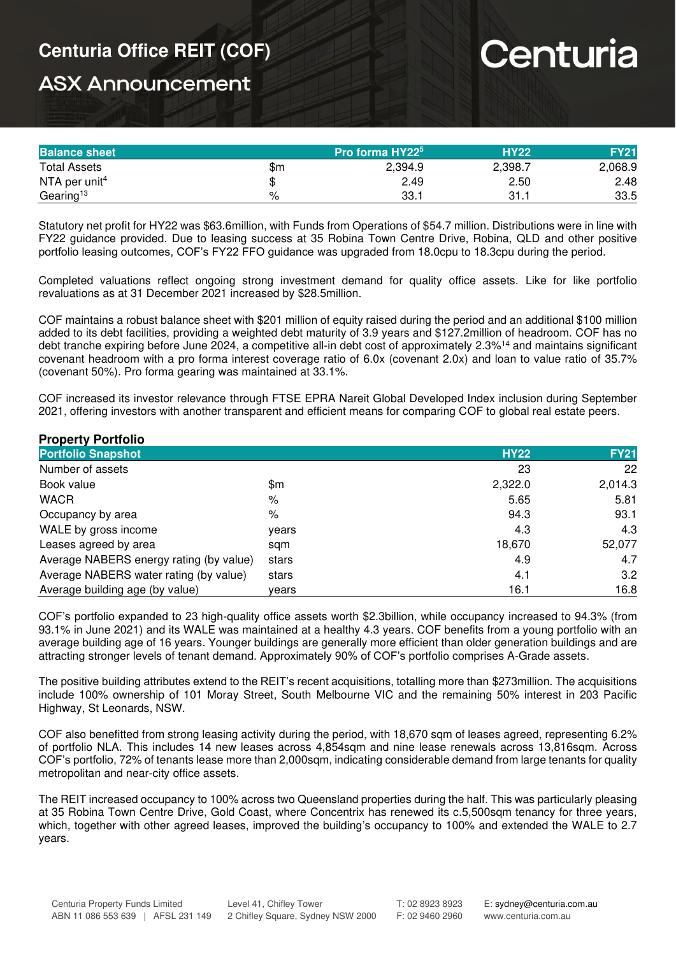### **Centuria Office REIT (COF)**

## **ASX Announcement**

## Centuria

| <b>Balance sheet</b>      |     | ا Pro forma HY22 <sup>5</sup> | <b>HY22</b> | <b>FY21</b> |
|---------------------------|-----|-------------------------------|-------------|-------------|
| <b>Total Assets</b>       | \$m | 2,394.9                       | 2,398.7     | 2,068.9     |
| NTA per unit <sup>4</sup> | w   | 2.49                          | 2.50        | 2.48        |
| Gearing <sup>13</sup>     | %   | 33.1                          | 31.1        | 33.5        |

Statutory net profit for HY22 was \$63.6million, with Funds from Operations of \$54.7 million. Distributions were in line with FY22 guidance provided. Due to leasing success at 35 Robina Town Centre Drive, Robina, QLD and other positive portfolio leasing outcomes, COF's FY22 FFO guidance was upgraded from 18.0cpu to 18.3cpu during the period.

Completed valuations reflect ongoing strong investment demand for quality office assets. Like for like portfolio revaluations as at 31 December 2021 increased by \$28.5million.

COF maintains a robust balance sheet with \$201 million of equity raised during the period and an additional \$100 million added to its debt facilities, providing a weighted debt maturity of 3.9 years and \$127.2million of headroom. COF has no debt tranche expiring before June 2024, a competitive all-in debt cost of approximately 2.3%<sup>14</sup> and maintains significant covenant headroom with a pro forma interest coverage ratio of 6.0x (covenant 2.0x) and loan to value ratio of 35.7% (covenant 50%). Pro forma gearing was maintained at 33.1%.

COF increased its investor relevance through FTSE EPRA Nareit Global Developed Index inclusion during September 2021, offering investors with another transparent and efficient means for comparing COF to global real estate peers.

| <b>Property Portfolio</b>               |       |             |             |
|-----------------------------------------|-------|-------------|-------------|
| <b>Portfolio Snapshot</b>               |       | <b>HY22</b> | <b>FY21</b> |
| Number of assets                        |       | 23          | 22          |
| Book value                              | \$m   | 2,322.0     | 2,014.3     |
| <b>WACR</b>                             | %     | 5.65        | 5.81        |
| Occupancy by area                       | %     | 94.3        | 93.1        |
| WALE by gross income                    | years | 4.3         | 4.3         |
| Leases agreed by area                   | sam   | 18,670      | 52,077      |
| Average NABERS energy rating (by value) | stars | 4.9         | 4.7         |
| Average NABERS water rating (by value)  | stars | 4.1         | 3.2         |
| Average building age (by value)         | vears | 16.1        | 16.8        |

COF's portfolio expanded to 23 high-quality office assets worth \$2.3billion, while occupancy increased to 94.3% (from 93.1% in June 2021) and its WALE was maintained at a healthy 4.3 years. COF benefits from a young portfolio with an average building age of 16 years. Younger buildings are generally more efficient than older generation buildings and are attracting stronger levels of tenant demand. Approximately 90% of COF's portfolio comprises A-Grade assets.

The positive building attributes extend to the REIT's recent acquisitions, totalling more than \$273million. The acquisitions include 100% ownership of 101 Moray Street, South Melbourne VIC and the remaining 50% interest in 203 Pacific Highway, St Leonards, NSW.

COF also benefitted from strong leasing activity during the period, with 18,670 sqm of leases agreed, representing 6.2% of portfolio NLA. This includes 14 new leases across 4,854sqm and nine lease renewals across 13,816sqm. Across COF's portfolio, 72% of tenants lease more than 2,000sqm, indicating considerable demand from large tenants for quality metropolitan and near-city office assets.

The REIT increased occupancy to 100% across two Queensland properties during the half. This was particularly pleasing at 35 Robina Town Centre Drive, Gold Coast, where Concentrix has renewed its c.5,500sqm tenancy for three years, which, together with other agreed leases, improved the building's occupancy to 100% and extended the WALE to 2.7 years.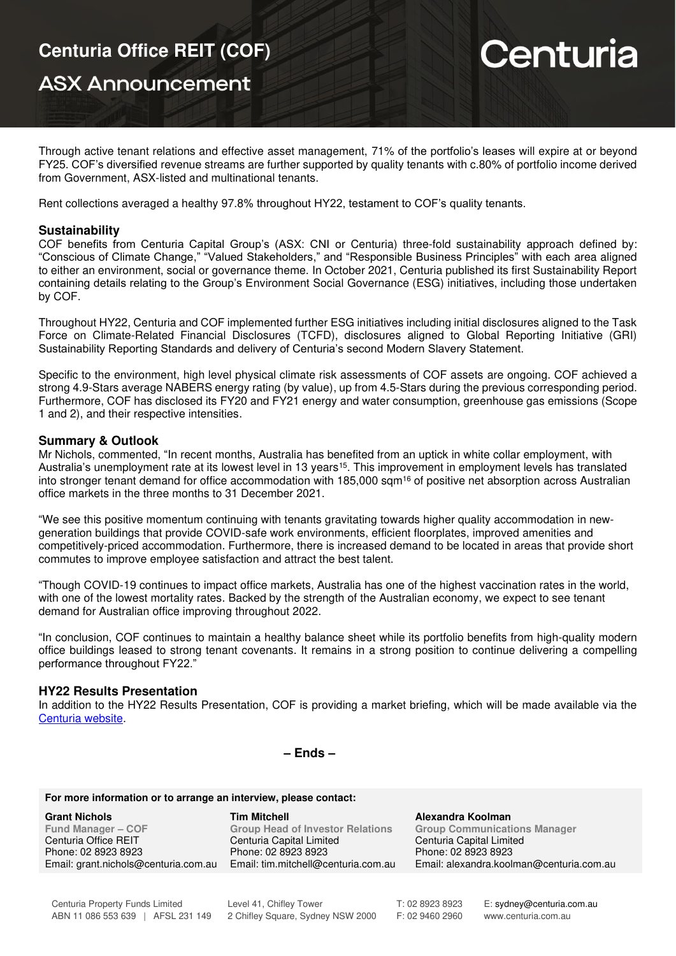## **Centuria Office REIT (COF)**

**ASX Announcement** 

# Centuria

Through active tenant relations and effective asset management, 71% of the portfolio's leases will expire at or beyond FY25. COF's diversified revenue streams are further supported by quality tenants with c.80% of portfolio income derived from Government, ASX-listed and multinational tenants.

Rent collections averaged a healthy 97.8% throughout HY22, testament to COF's quality tenants.

#### **Sustainability**

COF benefits from Centuria Capital Group's (ASX: CNI or Centuria) three-fold sustainability approach defined by: "Conscious of Climate Change," "Valued Stakeholders," and "Responsible Business Principles" with each area aligned to either an environment, social or governance theme. In October 2021, Centuria published its first Sustainability Report containing details relating to the Group's Environment Social Governance (ESG) initiatives, including those undertaken by COF.

Throughout HY22, Centuria and COF implemented further ESG initiatives including initial disclosures aligned to the Task Force on Climate-Related Financial Disclosures (TCFD), disclosures aligned to Global Reporting Initiative (GRI) Sustainability Reporting Standards and delivery of Centuria's second Modern Slavery Statement.

Specific to the environment, high level physical climate risk assessments of COF assets are ongoing. COF achieved a strong 4.9-Stars average NABERS energy rating (by value), up from 4.5-Stars during the previous corresponding period. Furthermore, COF has disclosed its FY20 and FY21 energy and water consumption, greenhouse gas emissions (Scope 1 and 2), and their respective intensities.

#### **Summary & Outlook**

Mr Nichols, commented, "In recent months, Australia has benefited from an uptick in white collar employment, with Australia's unemployment rate at its lowest level in 13 years<sup>15</sup>. This improvement in employment levels has translated into stronger tenant demand for office accommodation with 185,000 sqm<sup>16</sup> of positive net absorption across Australian office markets in the three months to 31 December 2021.

"We see this positive momentum continuing with tenants gravitating towards higher quality accommodation in newgeneration buildings that provide COVID-safe work environments, efficient floorplates, improved amenities and competitively-priced accommodation. Furthermore, there is increased demand to be located in areas that provide short commutes to improve employee satisfaction and attract the best talent.

"Though COVID-19 continues to impact office markets, Australia has one of the highest vaccination rates in the world, with one of the lowest mortality rates. Backed by the strength of the Australian economy, we expect to see tenant demand for Australian office improving throughout 2022.

"In conclusion, COF continues to maintain a healthy balance sheet while its portfolio benefits from high-quality modern office buildings leased to strong tenant covenants. It remains in a strong position to continue delivering a compelling performance throughout FY22."

#### **HY22 Results Presentation**

In addition to the HY22 Results Presentation, COF is providing a market briefing, which will be made available via the [Centuria website.](https://centuria.com.au/office-reit/investor-centre/)

$$
-\text{Ends}-
$$

#### **For more information or to arrange an interview, please contact:**

| Centuria Office REIT<br>Centuria Capital Limited<br>Centuria Capital Limited<br>Phone: 02 8923 8923<br>Phone: 02 8923 8923<br>Phone: 02 8923 8923<br>Email: grant.nichols@centuria.com.au<br>Email: tim.mitchell@centuria.com.au | <b>Grant Nichols</b><br>Fund Manager – COF | <b>Tim Mitchell</b><br><b>Group Head of Investor Relations</b> | Alexandra Koolman<br><b>Group Communications Manager</b><br>Email: alexandra.koolman@centuria.com.au |
|----------------------------------------------------------------------------------------------------------------------------------------------------------------------------------------------------------------------------------|--------------------------------------------|----------------------------------------------------------------|------------------------------------------------------------------------------------------------------|
|----------------------------------------------------------------------------------------------------------------------------------------------------------------------------------------------------------------------------------|--------------------------------------------|----------------------------------------------------------------|------------------------------------------------------------------------------------------------------|

Level 41, Chifley Tower

T: 02 8923 8923 F: 02 9460 2960 E: [sydney@centuria.com.au](mailto:sydney@centuria.com.au)  www.centuria.com.au